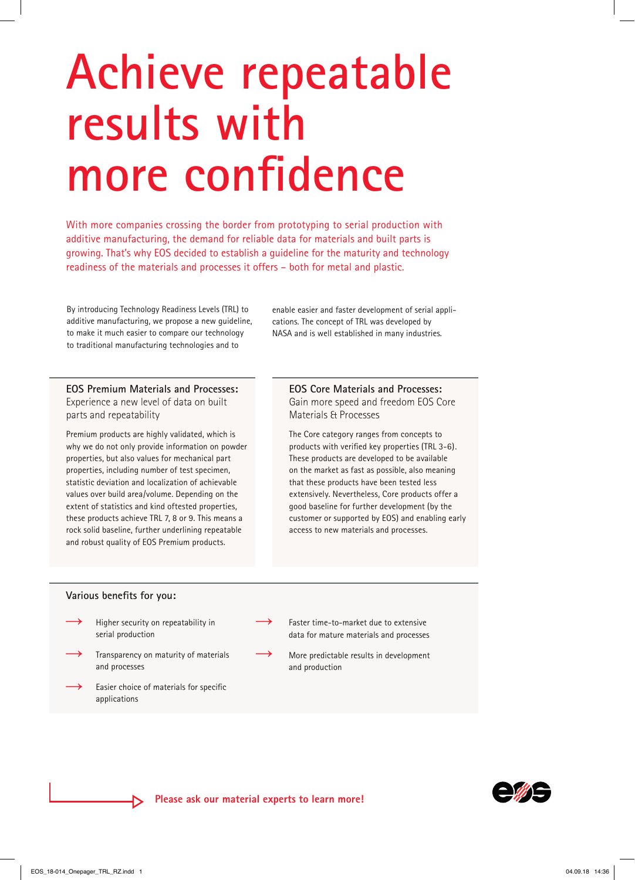# **Achieve repeatable results with more confidence**

With more companies crossing the border from prototyping to serial production with additive manufacturing, the demand for reliable data for materials and built parts is growing. That's why EOS decided to establish a guideline for the maturity and technology readiness of the materials and processes it offers – both for metal and plastic.

By introducing Technology Readiness Levels (TRL) to additive manufacturing, we propose a new guideline, to make it much easier to compare our technology to traditional manufacturing technologies and to

enable easier and faster development of serial applications. The concept of TRL was developed by NASA and is well established in many industries.

**EOS Premium Materials and Processes:**  Experience a new level of data on built parts and repeatability

Premium products are highly validated, which is why we do not only provide information on powder properties, but also values for mechanical part properties, including number of test specimen, statistic deviation and localization of achievable values over build area/volume. Depending on the extent of statistics and kind oftested properties, these products achieve TRL 7, 8 or 9. This means a rock solid baseline, further underlining repeatable and robust quality of EOS Premium products.

**EOS Core Materials and Processes:**  Gain more speed and freedom EOS Core Materials & Processes

The Core category ranges from concepts to products with verified key properties (TRL 3-6). These products are developed to be available on the market as fast as possible, also meaning that these products have been tested less extensively. Nevertheless, Core products offer a good baseline for further development (by the customer or supported by EOS) and enabling early access to new materials and processes.

### **Various benefits for you:**

- Higher security on repeatability in serial production  $\rightarrow$
- Transparency on maturity of materials and processes  $\rightarrow$
- Easier choice of materials for specific applications  $\rightarrow$
- Faster time-to-market due to extensive data for mature materials and processes
- More predictable results in development and production



 $\rightarrow$ 

 $\rightarrow$